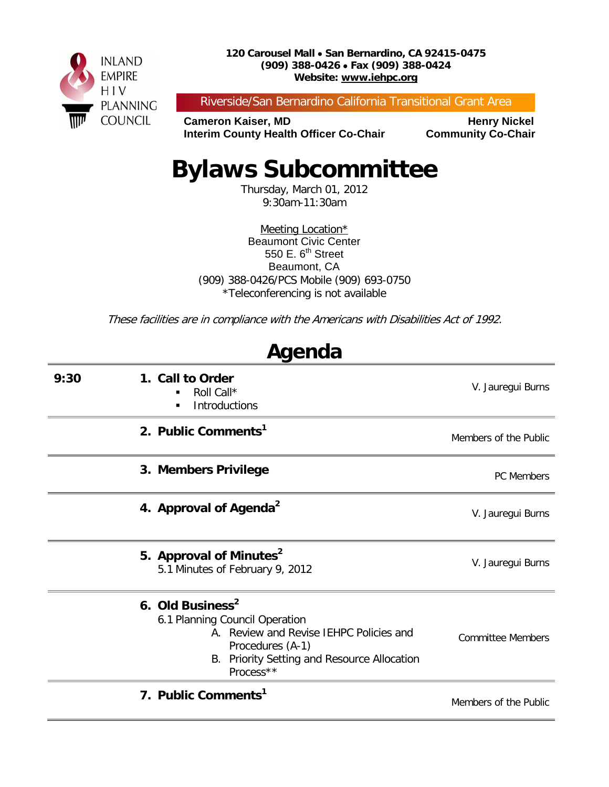

Riverside/San Bernardino California Transitional Grant Area

**Cameron Kaiser, MD<br>Interim County Health Officer Co-Chair Community Co-Chair Interim County Health Officer Co-Chair** 

# **Bylaws Subcommittee**

Thursday, March 01, 2012 9:30am-11:30am

Meeting Location\* Beaumont Civic Center 550 E.  $6<sup>th</sup>$  Street Beaumont, CA (909) 388-0426/PCS Mobile (909) 693-0750 \*Teleconferencing is not available

These facilities are in compliance with the Americans with Disabilities Act of 1992.

**Agenda**

| nyunua |                                                                                                                                                                                              |                          |  |  |
|--------|----------------------------------------------------------------------------------------------------------------------------------------------------------------------------------------------|--------------------------|--|--|
| 9:30   | 1. Call to Order<br>Roll Call*<br>Introductions<br>٠                                                                                                                                         | V. Jauregui Burns        |  |  |
|        | 2. Public Comments <sup>1</sup>                                                                                                                                                              | Members of the Public    |  |  |
|        | 3. Members Privilege                                                                                                                                                                         | PC Members               |  |  |
|        | 4. Approval of Agenda <sup>2</sup>                                                                                                                                                           | V. Jauregui Burns        |  |  |
|        | 5. Approval of Minutes <sup>2</sup><br>5.1 Minutes of February 9, 2012                                                                                                                       | V. Jauregui Burns        |  |  |
|        | 6. Old Business <sup>2</sup><br>6.1 Planning Council Operation<br>A. Review and Revise IEHPC Policies and<br>Procedures (A-1)<br>Priority Setting and Resource Allocation<br>В.<br>Process** | <b>Committee Members</b> |  |  |
|        | 7. Public Comments <sup>1</sup>                                                                                                                                                              | Members of the Public    |  |  |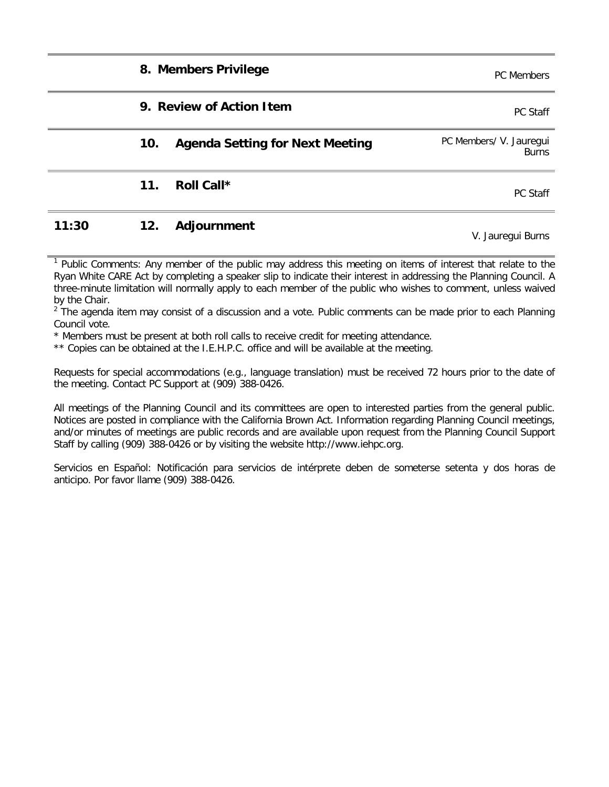|       |     | 8. Members Privilege                   | <b>PC</b> Members                       |
|-------|-----|----------------------------------------|-----------------------------------------|
|       |     | 9. Review of Action Item               | PC Staff                                |
|       | 10. | <b>Agenda Setting for Next Meeting</b> | PC Members/ V. Jauregui<br><b>Burns</b> |
|       | 11. | Roll Call*                             | PC Staff                                |
| 11:30 | 12. | Adjournment                            | V. Jauregui Burns                       |

<sup>1</sup> Public Comments: Any member of the public may address this meeting on items of interest that relate to the Ryan White CARE Act by completing a speaker slip to indicate their interest in addressing the Planning Council. A three-minute limitation will normally apply to each member of the public who wishes to comment, unless waived by the Chair.

 $2$  The agenda item may consist of a discussion and a vote. Public comments can be made prior to each Planning Council vote.

\* Members must be present at both roll calls to receive credit for meeting attendance.

\*\* Copies can be obtained at the I.E.H.P.C. office and will be available at the meeting.

Requests for special accommodations (e.g., language translation) must be received 72 hours prior to the date of the meeting. Contact PC Support at (909) 388-0426.

All meetings of the Planning Council and its committees are open to interested parties from the general public. Notices are posted in compliance with the California Brown Act. Information regarding Planning Council meetings, and/or minutes of meetings are public records and are available upon request from the Planning Council Support Staff by calling (909) 388-0426 or by visiting the website http://www.iehpc.org.

Servicios en Español: Notificación para servicios de intérprete deben de someterse setenta y dos horas de anticipo. Por favor llame (909) 388-0426.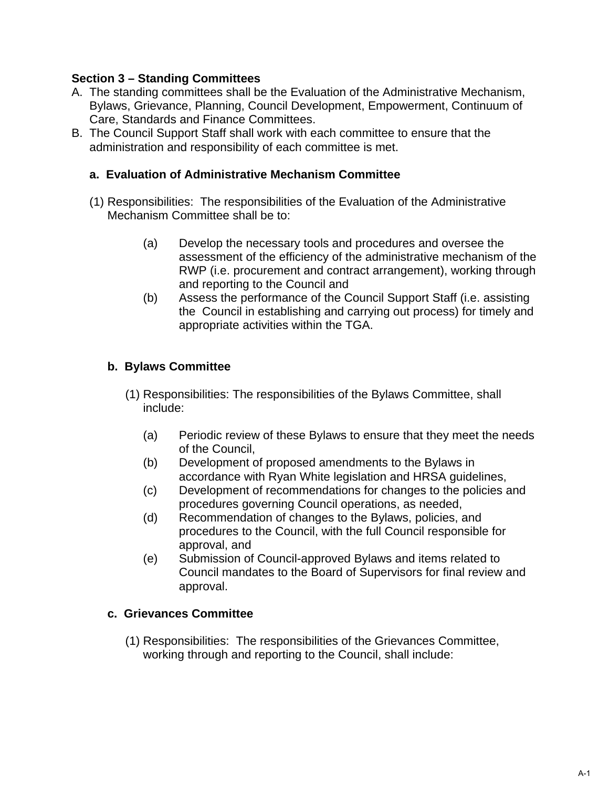#### **Section 3 – Standing Committees**

- A. The standing committees shall be the Evaluation of the Administrative Mechanism, Bylaws, Grievance, Planning, Council Development, Empowerment, Continuum of Care, Standards and Finance Committees.
- B. The Council Support Staff shall work with each committee to ensure that the administration and responsibility of each committee is met.

#### **a. Evaluation of Administrative Mechanism Committee**

- (1) Responsibilities: The responsibilities of the Evaluation of the Administrative Mechanism Committee shall be to:
	- (a) Develop the necessary tools and procedures and oversee the assessment of the efficiency of the administrative mechanism of the RWP (i.e. procurement and contract arrangement), working through and reporting to the Council and
	- (b) Assess the performance of the Council Support Staff (i.e. assisting the Council in establishing and carrying out process) for timely and appropriate activities within the TGA.

#### **b. Bylaws Committee**

- (1) Responsibilities: The responsibilities of the Bylaws Committee, shall include:
	- (a) Periodic review of these Bylaws to ensure that they meet the needs of the Council,
	- (b) Development of proposed amendments to the Bylaws in accordance with Ryan White legislation and HRSA guidelines,
	- (c) Development of recommendations for changes to the policies and procedures governing Council operations, as needed,
	- (d) Recommendation of changes to the Bylaws, policies, and procedures to the Council, with the full Council responsible for approval, and
	- (e) Submission of Council-approved Bylaws and items related to Council mandates to the Board of Supervisors for final review and approval.

#### **c. Grievances Committee**

(1) Responsibilities: The responsibilities of the Grievances Committee, working through and reporting to the Council, shall include: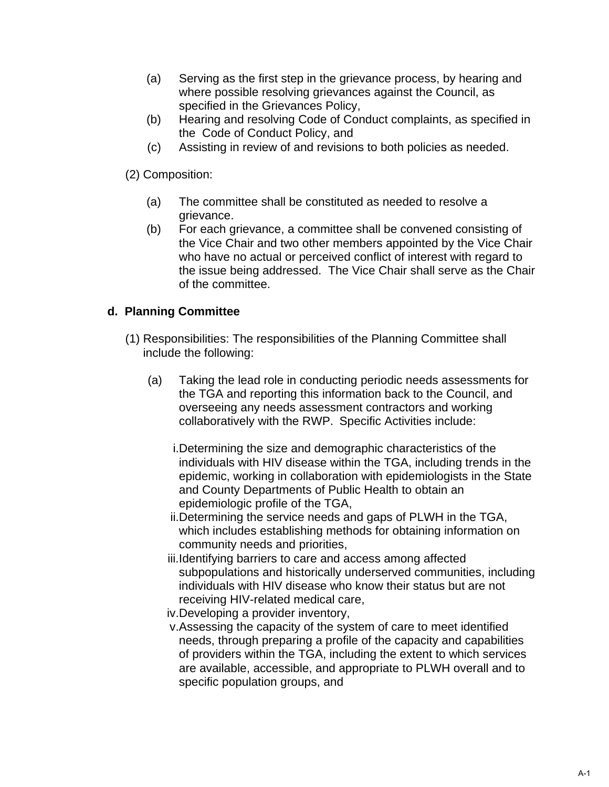- (a) Serving as the first step in the grievance process, by hearing and where possible resolving grievances against the Council, as specified in the Grievances Policy,
- (b) Hearing and resolving Code of Conduct complaints, as specified in the Code of Conduct Policy, and
- (c) Assisting in review of and revisions to both policies as needed.

(2) Composition:

- (a) The committee shall be constituted as needed to resolve a grievance.
- (b) For each grievance, a committee shall be convened consisting of the Vice Chair and two other members appointed by the Vice Chair who have no actual or perceived conflict of interest with regard to the issue being addressed. The Vice Chair shall serve as the Chair of the committee.

#### **d. Planning Committee**

- (1) Responsibilities: The responsibilities of the Planning Committee shall include the following:
	- (a) Taking the lead role in conducting periodic needs assessments for the TGA and reporting this information back to the Council, and overseeing any needs assessment contractors and working collaboratively with the RWP. Specific Activities include:
		- i.Determining the size and demographic characteristics of the individuals with HIV disease within the TGA, including trends in the epidemic, working in collaboration with epidemiologists in the State and County Departments of Public Health to obtain an epidemiologic profile of the TGA,
		- ii.Determining the service needs and gaps of PLWH in the TGA, which includes establishing methods for obtaining information on community needs and priorities,
		- iii.Identifying barriers to care and access among affected subpopulations and historically underserved communities, including individuals with HIV disease who know their status but are not receiving HIV-related medical care,
		- iv.Developing a provider inventory,
		- v.Assessing the capacity of the system of care to meet identified needs, through preparing a profile of the capacity and capabilities of providers within the TGA, including the extent to which services are available, accessible, and appropriate to PLWH overall and to specific population groups, and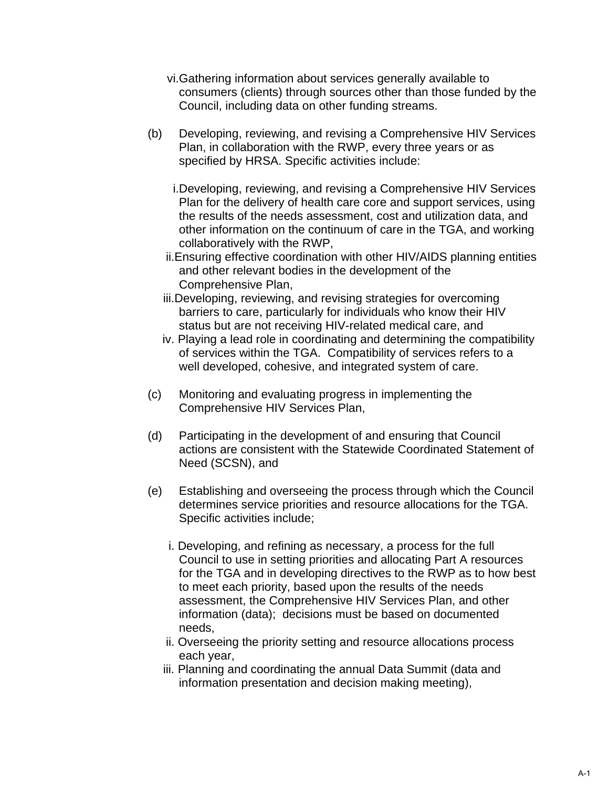- vi.Gathering information about services generally available to consumers (clients) through sources other than those funded by the Council, including data on other funding streams.
- (b) Developing, reviewing, and revising a Comprehensive HIV Services Plan, in collaboration with the RWP, every three years or as specified by HRSA. Specific activities include:
	- i.Developing, reviewing, and revising a Comprehensive HIV Services Plan for the delivery of health care core and support services, using the results of the needs assessment, cost and utilization data, and other information on the continuum of care in the TGA, and working collaboratively with the RWP,
	- ii.Ensuring effective coordination with other HIV/AIDS planning entities and other relevant bodies in the development of the Comprehensive Plan,
	- iii.Developing, reviewing, and revising strategies for overcoming barriers to care, particularly for individuals who know their HIV status but are not receiving HIV-related medical care, and
	- iv. Playing a lead role in coordinating and determining the compatibility of services within the TGA. Compatibility of services refers to a well developed, cohesive, and integrated system of care.
- (c) Monitoring and evaluating progress in implementing the Comprehensive HIV Services Plan,
- (d) Participating in the development of and ensuring that Council actions are consistent with the Statewide Coordinated Statement of Need (SCSN), and
- (e) Establishing and overseeing the process through which the Council determines service priorities and resource allocations for the TGA. Specific activities include;
	- i. Developing, and refining as necessary, a process for the full Council to use in setting priorities and allocating Part A resources for the TGA and in developing directives to the RWP as to how best to meet each priority, based upon the results of the needs assessment, the Comprehensive HIV Services Plan, and other information (data); decisions must be based on documented needs,
	- ii. Overseeing the priority setting and resource allocations process each year,
	- iii. Planning and coordinating the annual Data Summit (data and information presentation and decision making meeting),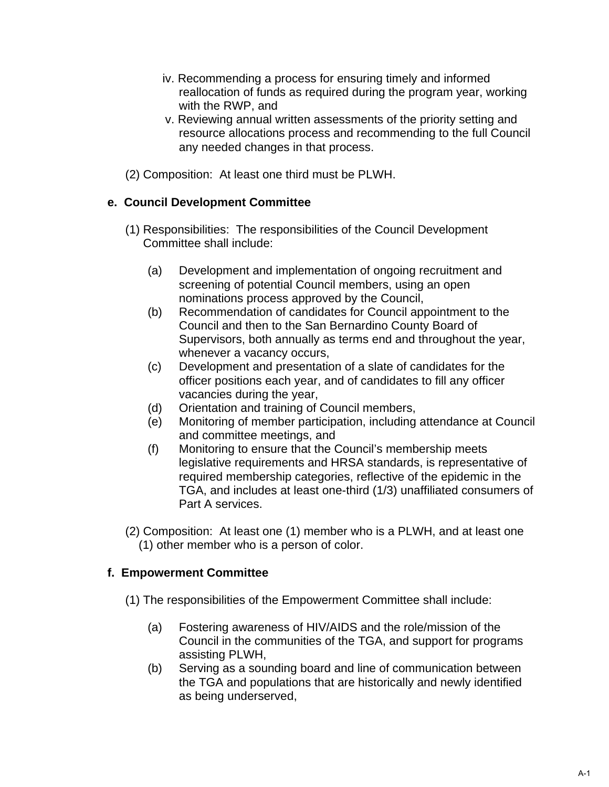- iv. Recommending a process for ensuring timely and informed reallocation of funds as required during the program year, working with the RWP, and
- v. Reviewing annual written assessments of the priority setting and resource allocations process and recommending to the full Council any needed changes in that process.
- (2) Composition: At least one third must be PLWH.

#### **e. Council Development Committee**

- (1) Responsibilities: The responsibilities of the Council Development Committee shall include:
	- (a) Development and implementation of ongoing recruitment and screening of potential Council members, using an open nominations process approved by the Council,
	- (b) Recommendation of candidates for Council appointment to the Council and then to the San Bernardino County Board of Supervisors, both annually as terms end and throughout the year, whenever a vacancy occurs,
	- (c) Development and presentation of a slate of candidates for the officer positions each year, and of candidates to fill any officer vacancies during the year,
	- (d) Orientation and training of Council members,
	- (e) Monitoring of member participation, including attendance at Council and committee meetings, and
	- (f) Monitoring to ensure that the Council's membership meets legislative requirements and HRSA standards, is representative of required membership categories, reflective of the epidemic in the TGA, and includes at least one-third (1/3) unaffiliated consumers of Part A services.
- (2) Composition: At least one (1) member who is a PLWH, and at least one (1) other member who is a person of color.

#### **f. Empowerment Committee**

- (1) The responsibilities of the Empowerment Committee shall include:
	- (a) Fostering awareness of HIV/AIDS and the role/mission of the Council in the communities of the TGA, and support for programs assisting PLWH,
	- (b) Serving as a sounding board and line of communication between the TGA and populations that are historically and newly identified as being underserved,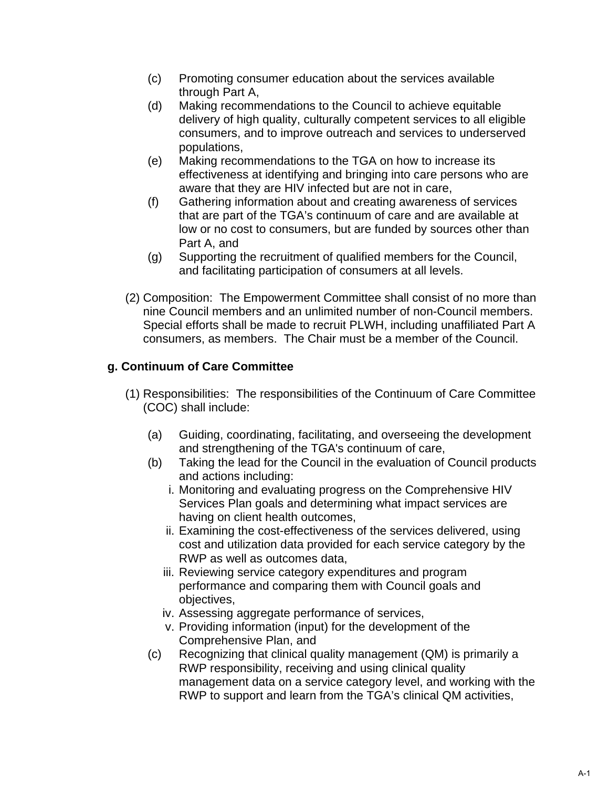- (c) Promoting consumer education about the services available through Part A,
- (d) Making recommendations to the Council to achieve equitable delivery of high quality, culturally competent services to all eligible consumers, and to improve outreach and services to underserved populations,
- (e) Making recommendations to the TGA on how to increase its effectiveness at identifying and bringing into care persons who are aware that they are HIV infected but are not in care,
- (f) Gathering information about and creating awareness of services that are part of the TGA's continuum of care and are available at low or no cost to consumers, but are funded by sources other than Part A, and
- (g) Supporting the recruitment of qualified members for the Council, and facilitating participation of consumers at all levels.
- (2) Composition: The Empowerment Committee shall consist of no more than nine Council members and an unlimited number of non-Council members. Special efforts shall be made to recruit PLWH, including unaffiliated Part A consumers, as members. The Chair must be a member of the Council.

#### **g. Continuum of Care Committee**

- (1) Responsibilities: The responsibilities of the Continuum of Care Committee (COC) shall include:
	- (a) Guiding, coordinating, facilitating, and overseeing the development and strengthening of the TGA's continuum of care,
	- (b) Taking the lead for the Council in the evaluation of Council products and actions including:
		- i. Monitoring and evaluating progress on the Comprehensive HIV Services Plan goals and determining what impact services are having on client health outcomes,
		- ii. Examining the cost-effectiveness of the services delivered, using cost and utilization data provided for each service category by the RWP as well as outcomes data,
		- iii. Reviewing service category expenditures and program performance and comparing them with Council goals and objectives,
		- iv. Assessing aggregate performance of services,
		- v. Providing information (input) for the development of the Comprehensive Plan, and
	- (c) Recognizing that clinical quality management (QM) is primarily a RWP responsibility, receiving and using clinical quality management data on a service category level, and working with the RWP to support and learn from the TGA's clinical QM activities,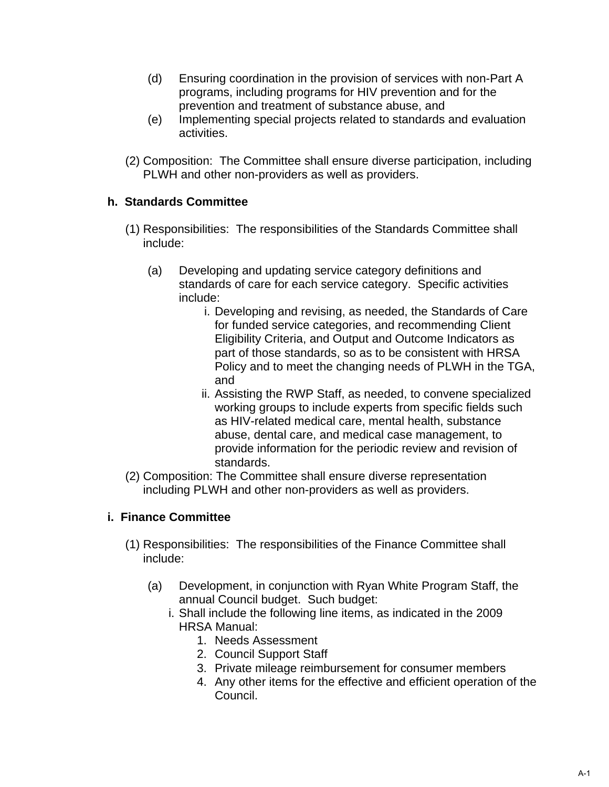- (d) Ensuring coordination in the provision of services with non-Part A programs, including programs for HIV prevention and for the prevention and treatment of substance abuse, and
- (e) Implementing special projects related to standards and evaluation activities.
- (2) Composition: The Committee shall ensure diverse participation, including PLWH and other non-providers as well as providers.

#### **h. Standards Committee**

- (1) Responsibilities: The responsibilities of the Standards Committee shall include:
	- (a) Developing and updating service category definitions and standards of care for each service category. Specific activities include:
		- i. Developing and revising, as needed, the Standards of Care for funded service categories, and recommending Client Eligibility Criteria, and Output and Outcome Indicators as part of those standards, so as to be consistent with HRSA Policy and to meet the changing needs of PLWH in the TGA, and
		- ii. Assisting the RWP Staff, as needed, to convene specialized working groups to include experts from specific fields such as HIV-related medical care, mental health, substance abuse, dental care, and medical case management, to provide information for the periodic review and revision of standards.
- (2) Composition: The Committee shall ensure diverse representation including PLWH and other non-providers as well as providers.

#### **i. Finance Committee**

- (1) Responsibilities: The responsibilities of the Finance Committee shall include:
	- (a) Development, in conjunction with Ryan White Program Staff, the annual Council budget. Such budget:
		- i. Shall include the following line items, as indicated in the 2009 HRSA Manual:
			- 1. Needs Assessment
			- 2. Council Support Staff
			- 3. Private mileage reimbursement for consumer members
			- 4. Any other items for the effective and efficient operation of the Council.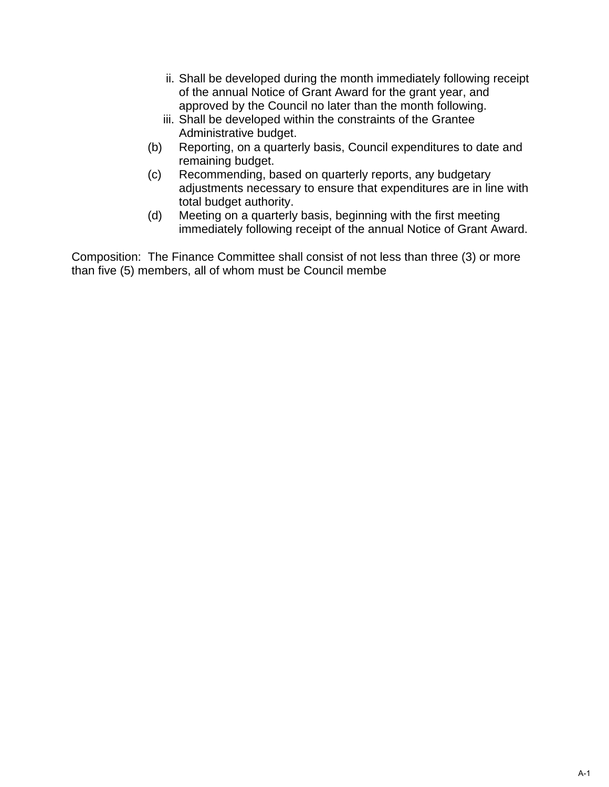- ii. Shall be developed during the month immediately following receipt of the annual Notice of Grant Award for the grant year, and approved by the Council no later than the month following.
- iii. Shall be developed within the constraints of the Grantee Administrative budget.
- (b) Reporting, on a quarterly basis, Council expenditures to date and remaining budget.
- (c) Recommending, based on quarterly reports, any budgetary adjustments necessary to ensure that expenditures are in line with total budget authority.
- (d) Meeting on a quarterly basis, beginning with the first meeting immediately following receipt of the annual Notice of Grant Award.

Composition: The Finance Committee shall consist of not less than three (3) or more than five (5) members, all of whom must be Council membe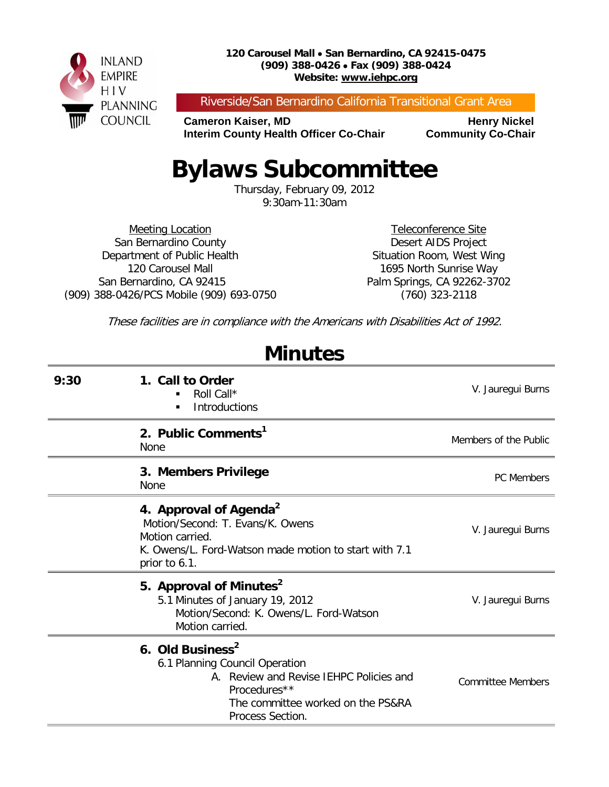

Riverside/San Bernardino California Transitional Grant Area

**Cameron Kaiser, MD<br>Interim County Health Officer Co-Chair Community Co-Chair Interim County Health Officer Co-Chair** 

# **Bylaws Subcommittee**

Thursday, February 09, 2012 9:30am-11:30am

Meeting Location San Bernardino County Department of Public Health 120 Carousel Mall San Bernardino, CA 92415 (909) 388-0426/PCS Mobile (909) 693-0750

Teleconference Site Desert AIDS Project Situation Room, West Wing 1695 North Sunrise Way Palm Springs, CA 92262-3702 (760) 323-2118

These facilities are in compliance with the Americans with Disabilities Act of 1992.

| 9:30 | 1. Call to Order<br>Roll Call*<br>Introductions                                                                                                                                    | V. Jauregui Burns        |
|------|------------------------------------------------------------------------------------------------------------------------------------------------------------------------------------|--------------------------|
|      | 2. Public Comments <sup>1</sup><br><b>None</b>                                                                                                                                     | Members of the Public    |
|      | 3. Members Privilege<br><b>None</b>                                                                                                                                                | <b>PC</b> Members        |
|      | 4. Approval of Agenda <sup>2</sup><br>Motion/Second: T. Evans/K. Owens<br>Motion carried.<br>K. Owens/L. Ford-Watson made motion to start with 7.1<br>prior to 6.1.                | V. Jauregui Burns        |
|      | 5. Approval of Minutes <sup>2</sup><br>5.1 Minutes of January 19, 2012<br>Motion/Second: K. Owens/L. Ford-Watson<br>Motion carried.                                                | V. Jauregui Burns        |
|      | 6. Old Business <sup>2</sup><br>6.1 Planning Council Operation<br>A. Review and Revise IEHPC Policies and<br>Procedures**<br>The committee worked on the PS&RA<br>Process Section. | <b>Committee Members</b> |

## **Minutes**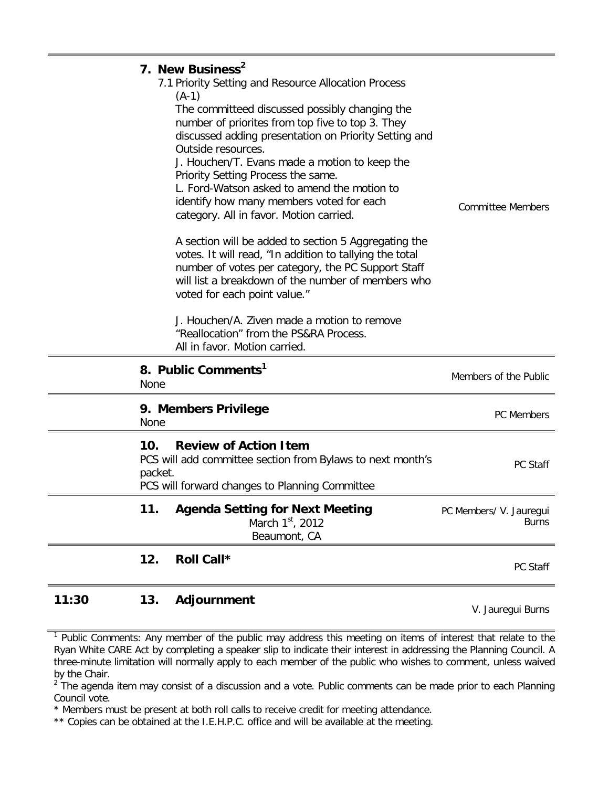### **11:30 13. Adjournment** V. Jauregui Burns

<sup>&</sup>lt;sup>1</sup> Public Comments: Any member of the public may address this meeting on items of interest that relate to the Ryan White CARE Act by completing a speaker slip to indicate their interest in addressing the Planning Council. A three-minute limitation will normally apply to each member of the public who wishes to comment, unless waived by the Chair.

<sup>&</sup>lt;sup>2</sup> The agenda item may consist of a discussion and a vote. Public comments can be made prior to each Planning Council vote.

<sup>\*</sup> Members must be present at both roll calls to receive credit for meeting attendance.

<sup>\*\*</sup> Copies can be obtained at the I.E.H.P.C. office and will be available at the meeting.